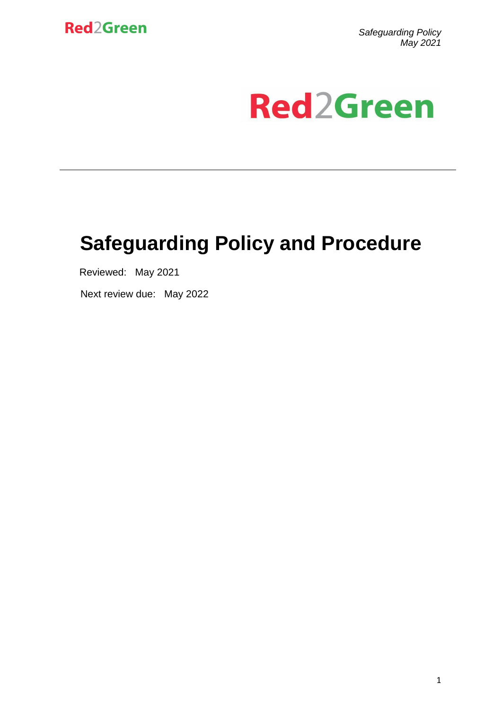

*Safeguarding Policy May 2021*

# **Red2Green**

# **Safeguarding Policy and Procedure**

Reviewed: May 2021

Next review due: May 2022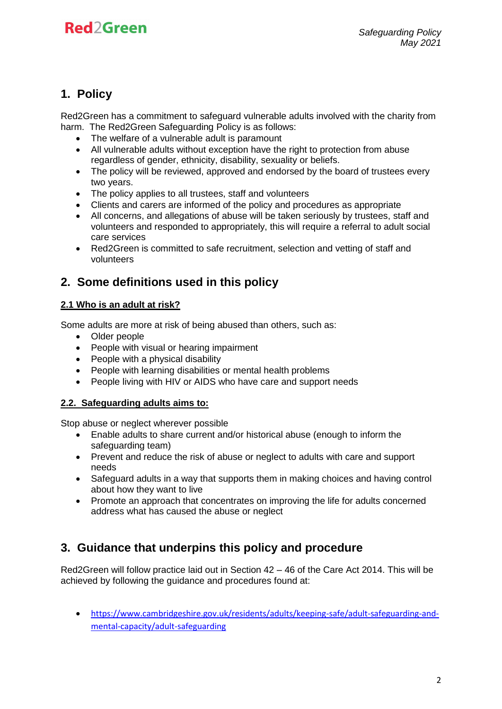### **1. Policy**

Red2Green has a commitment to safeguard vulnerable adults involved with the charity from harm. The Red2Green Safeguarding Policy is as follows:

- The welfare of a vulnerable adult is paramount
- All vulnerable adults without exception have the right to protection from abuse regardless of gender, ethnicity, disability, sexuality or beliefs.
- The policy will be reviewed, approved and endorsed by the board of trustees every two years.
- The policy applies to all trustees, staff and volunteers
- Clients and carers are informed of the policy and procedures as appropriate
- All concerns, and allegations of abuse will be taken seriously by trustees, staff and volunteers and responded to appropriately, this will require a referral to adult social care services
- Red2Green is committed to safe recruitment, selection and vetting of staff and volunteers

### **2. Some definitions used in this policy**

#### **2.1 Who is an adult at risk?**

Some adults are more at risk of being abused than others, such as:

- Older people
- People with visual or hearing impairment
- People with a physical disability
- People with learning disabilities or mental health problems
- People living with HIV or AIDS who have care and support needs

#### **2.2. Safeguarding adults aims to:**

Stop abuse or neglect wherever possible

- Enable adults to share current and/or historical abuse (enough to inform the safeguarding team)
- Prevent and reduce the risk of abuse or neglect to adults with care and support needs
- Safeguard adults in a way that supports them in making choices and having control about how they want to live
- Promote an approach that concentrates on improving the life for adults concerned address what has caused the abuse or neglect

### **3. Guidance that underpins this policy and procedure**

Red2Green will follow practice laid out in Section 42 – 46 of the Care Act 2014. This will be achieved by following the guidance and procedures found at:

• [https://www.cambridgeshire.gov.uk/residents/adults/keeping-safe/adult-safeguarding-and](https://www.cambridgeshire.gov.uk/residents/adults/keeping-safe/adult-safeguarding-and-mental-capacity/adult-safeguarding)[mental-capacity/adult-safeguarding](https://www.cambridgeshire.gov.uk/residents/adults/keeping-safe/adult-safeguarding-and-mental-capacity/adult-safeguarding)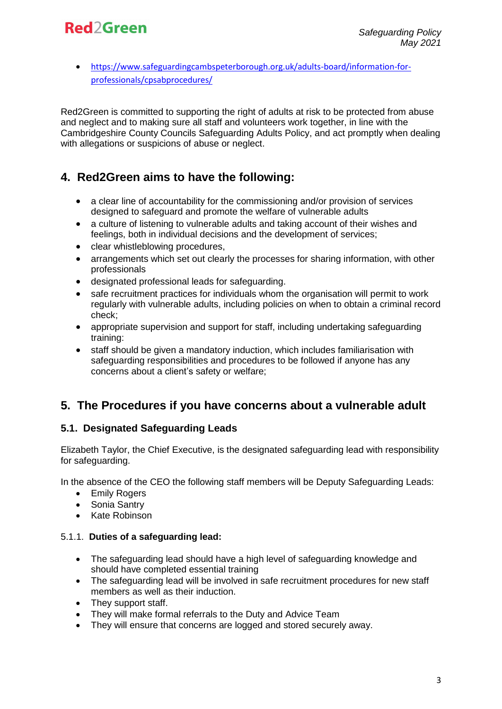• [https://www.safeguardingcambspeterborough.org.uk/adults-board/information-for](https://www.safeguardingcambspeterborough.org.uk/adults-board/information-for-professionals/cpsabprocedures/)[professionals/cpsabprocedures/](https://www.safeguardingcambspeterborough.org.uk/adults-board/information-for-professionals/cpsabprocedures/)

Red2Green is committed to supporting the right of adults at risk to be protected from abuse and neglect and to making sure all staff and volunteers work together, in line with the Cambridgeshire County Councils Safeguarding Adults Policy, and act promptly when dealing with allegations or suspicions of abuse or neglect.

### **4. Red2Green aims to have the following:**

- a clear line of accountability for the commissioning and/or provision of services designed to safeguard and promote the welfare of vulnerable adults
- a culture of listening to vulnerable adults and taking account of their wishes and feelings, both in individual decisions and the development of services;
- clear whistleblowing procedures,
- arrangements which set out clearly the processes for sharing information, with other professionals
- designated professional leads for safeguarding.
- safe recruitment practices for individuals whom the organisation will permit to work regularly with vulnerable adults, including policies on when to obtain a criminal record check;
- appropriate supervision and support for staff, including undertaking safeguarding training:
- staff should be given a mandatory induction, which includes familiarisation with safeguarding responsibilities and procedures to be followed if anyone has any concerns about a client's safety or welfare;

### **5. The Procedures if you have concerns about a vulnerable adult**

#### **5.1. Designated Safeguarding Leads**

Elizabeth Taylor, the Chief Executive, is the designated safeguarding lead with responsibility for safeguarding.

In the absence of the CEO the following staff members will be Deputy Safeguarding Leads:

- Emily Rogers
- Sonia Santry
- Kate Robinson

#### 5.1.1. **Duties of a safeguarding lead:**

- The safeguarding lead should have a high level of safeguarding knowledge and should have completed essential training
- The safeguarding lead will be involved in safe recruitment procedures for new staff members as well as their induction.
- They support staff.
- They will make formal referrals to the Duty and Advice Team
- They will ensure that concerns are logged and stored securely away.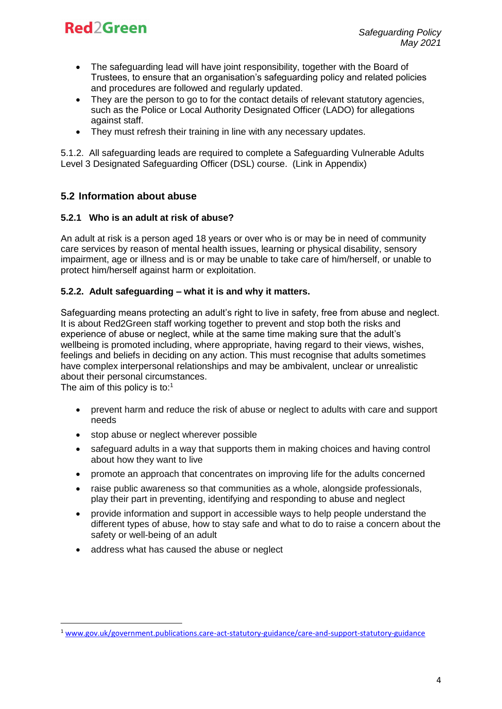- The safeguarding lead will have joint responsibility, together with the Board of Trustees, to ensure that an organisation's safeguarding policy and related policies and procedures are followed and regularly updated.
- They are the person to go to for the contact details of relevant statutory agencies. such as the Police or Local Authority Designated Officer (LADO) for allegations against staff.
- They must refresh their training in line with any necessary updates.

5.1.2. All safeguarding leads are required to complete a Safeguarding Vulnerable Adults Level 3 Designated Safeguarding Officer (DSL) course. (Link in Appendix)

#### **5.2 Information about abuse**

#### **5.2.1 Who is an adult at risk of abuse?**

An adult at risk is a person aged 18 years or over who is or may be in need of community care services by reason of mental health issues, learning or physical disability, sensory impairment, age or illness and is or may be unable to take care of him/herself, or unable to protect him/herself against harm or exploitation.

#### **5.2.2. Adult safeguarding – what it is and why it matters.**

Safeguarding means protecting an adult's right to live in safety, free from abuse and neglect. It is about Red2Green staff working together to prevent and stop both the risks and experience of abuse or neglect, while at the same time making sure that the adult's wellbeing is promoted including, where appropriate, having regard to their views, wishes, feelings and beliefs in deciding on any action. This must recognise that adults sometimes have complex interpersonal relationships and may be ambivalent, unclear or unrealistic about their personal circumstances.

The aim of this policy is to:<sup>1</sup>

1

- prevent harm and reduce the risk of abuse or neglect to adults with care and support needs
- stop abuse or neglect wherever possible
- safeguard adults in a way that supports them in making choices and having control about how they want to live
- promote an approach that concentrates on improving life for the adults concerned
- raise public awareness so that communities as a whole, alongside professionals, play their part in preventing, identifying and responding to abuse and neglect
- provide information and support in accessible ways to help people understand the different types of abuse, how to stay safe and what to do to raise a concern about the safety or well-being of an adult
- address what has caused the abuse or neglect

<sup>1</sup> [www.gov.uk/government.publications.care-act-statutory-guidance/care-and-support-statutory-guidance](http://www.gov.uk/government.publications.care-act-statutory-guidance/care-and-support-statutory-guidance)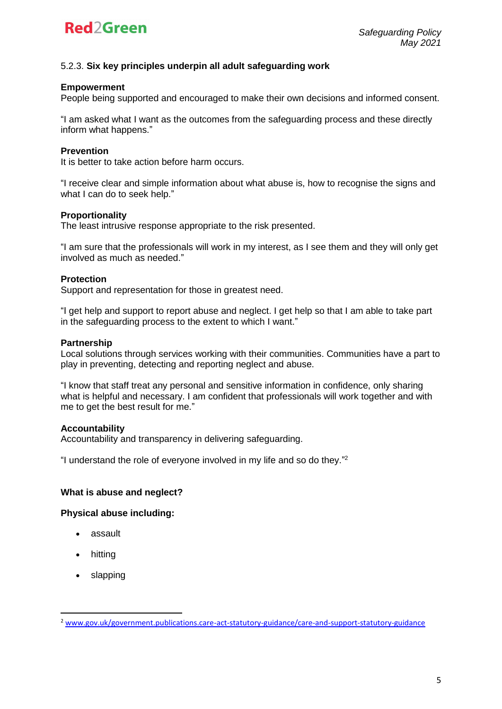

#### 5.2.3. **Six key principles underpin all adult safeguarding work**

#### **Empowerment**

People being supported and encouraged to make their own decisions and informed consent.

"I am asked what I want as the outcomes from the safeguarding process and these directly inform what happens."

#### **Prevention**

It is better to take action before harm occurs.

"I receive clear and simple information about what abuse is, how to recognise the signs and what I can do to seek help."

#### **Proportionality**

The least intrusive response appropriate to the risk presented.

"I am sure that the professionals will work in my interest, as I see them and they will only get involved as much as needed."

#### **Protection**

Support and representation for those in greatest need.

"I get help and support to report abuse and neglect. I get help so that I am able to take part in the safeguarding process to the extent to which I want."

#### **Partnership**

Local solutions through services working with their communities. Communities have a part to play in preventing, detecting and reporting neglect and abuse.

"I know that staff treat any personal and sensitive information in confidence, only sharing what is helpful and necessary. I am confident that professionals will work together and with me to get the best result for me."

#### **Accountability**

Accountability and transparency in delivering safeguarding.

"I understand the role of everyone involved in my life and so do they." 2

#### **What is abuse and neglect?**

#### **Physical abuse including:**

- assault
- hitting

**.** 

• slapping

<sup>2</sup> [www.gov.uk/government.publications.care-act-statutory-guidance/care-and-support-statutory-guidance](http://www.gov.uk/government.publications.care-act-statutory-guidance/care-and-support-statutory-guidance)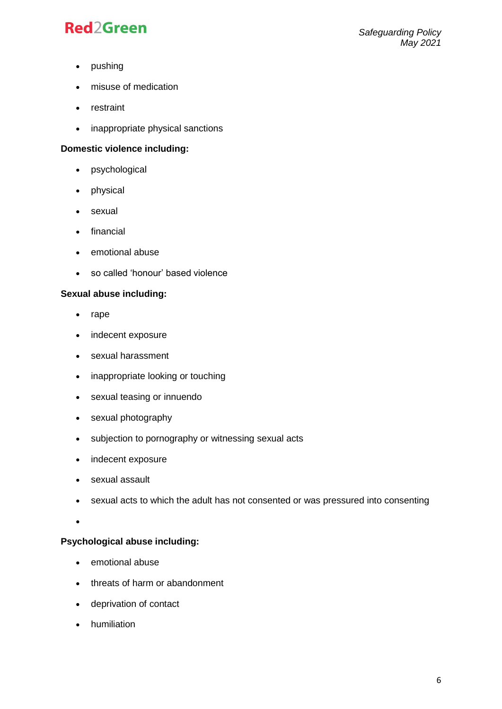- pushing
- misuse of medication
- restraint
- inappropriate physical sanctions

#### **Domestic violence including:**

- psychological
- physical
- sexual
- financial
- emotional abuse
- so called 'honour' based violence

#### **Sexual abuse including:**

- rape
- indecent exposure
- sexual harassment
- inappropriate looking or touching
- sexual teasing or innuendo
- sexual photography
- subjection to pornography or witnessing sexual acts
- indecent exposure
- sexual assault
- sexual acts to which the adult has not consented or was pressured into consenting
- •

#### **Psychological abuse including:**

- emotional abuse
- threats of harm or abandonment
- deprivation of contact
- humiliation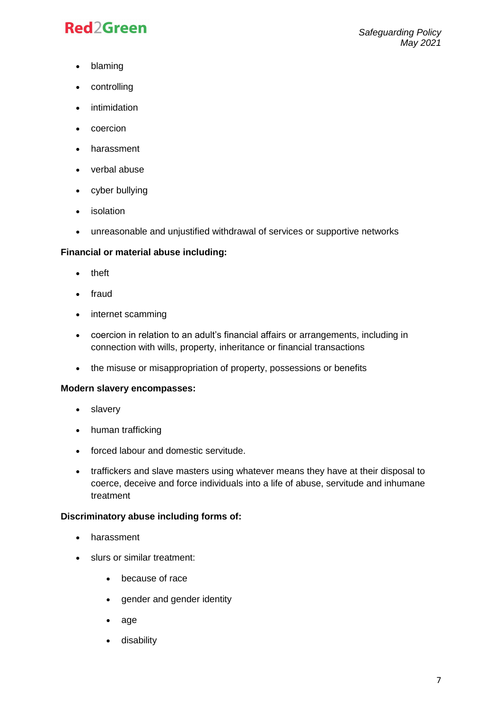- blaming
- controlling
- intimidation
- coercion
- harassment
- verbal abuse
- cyber bullying
- isolation
- unreasonable and unjustified withdrawal of services or supportive networks

#### **Financial or material abuse including:**

- theft
- fraud
- internet scamming
- coercion in relation to an adult's financial affairs or arrangements, including in connection with wills, property, inheritance or financial transactions
- the misuse or misappropriation of property, possessions or benefits

#### **Modern slavery encompasses:**

- slavery
- human trafficking
- forced labour and domestic servitude.
- traffickers and slave masters using whatever means they have at their disposal to coerce, deceive and force individuals into a life of abuse, servitude and inhumane treatment

#### **Discriminatory abuse including forms of:**

- harassment
- slurs or similar treatment:
	- because of race
	- gender and gender identity
	- age
	- disability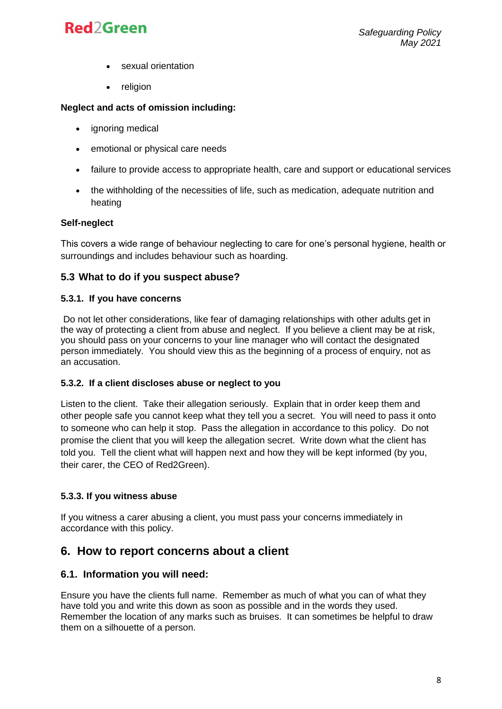- sexual orientation
- **religion**

#### **Neglect and acts of omission including:**

- ignoring medical
- emotional or physical care needs
- failure to provide access to appropriate health, care and support or educational services
- the withholding of the necessities of life, such as medication, adequate nutrition and heating

#### **Self-neglect**

This covers a wide range of behaviour neglecting to care for one's personal hygiene, health or surroundings and includes behaviour such as hoarding.

#### **5.3 What to do if you suspect abuse?**

#### **5.3.1. If you have concerns**

Do not let other considerations, like fear of damaging relationships with other adults get in the way of protecting a client from abuse and neglect. If you believe a client may be at risk, you should pass on your concerns to your line manager who will contact the designated person immediately. You should view this as the beginning of a process of enquiry, not as an accusation.

#### **5.3.2. If a client discloses abuse or neglect to you**

Listen to the client. Take their allegation seriously. Explain that in order keep them and other people safe you cannot keep what they tell you a secret. You will need to pass it onto to someone who can help it stop. Pass the allegation in accordance to this policy. Do not promise the client that you will keep the allegation secret. Write down what the client has told you. Tell the client what will happen next and how they will be kept informed (by you, their carer, the CEO of Red2Green).

#### **5.3.3. If you witness abuse**

If you witness a carer abusing a client, you must pass your concerns immediately in accordance with this policy.

### **6. How to report concerns about a client**

#### **6.1. Information you will need:**

Ensure you have the clients full name. Remember as much of what you can of what they have told you and write this down as soon as possible and in the words they used. Remember the location of any marks such as bruises. It can sometimes be helpful to draw them on a silhouette of a person.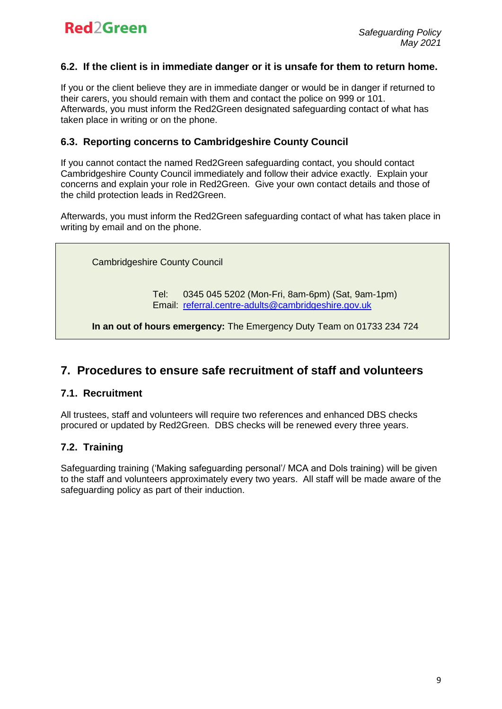#### **6.2. If the client is in immediate danger or it is unsafe for them to return home.**

If you or the client believe they are in immediate danger or would be in danger if returned to their carers, you should remain with them and contact the police on 999 or 101. Afterwards, you must inform the Red2Green designated safeguarding contact of what has taken place in writing or on the phone.

#### **6.3. Reporting concerns to Cambridgeshire County Council**

If you cannot contact the named Red2Green safeguarding contact, you should contact Cambridgeshire County Council immediately and follow their advice exactly. Explain your concerns and explain your role in Red2Green. Give your own contact details and those of the child protection leads in Red2Green.

Afterwards, you must inform the Red2Green safeguarding contact of what has taken place in writing by email and on the phone.

Cambridgeshire County Council

Tel: 0345 045 5202 (Mon-Fri, 8am-6pm) (Sat, 9am-1pm) Email: [referral.centre-adults@cambridgeshire.gov.uk](mailto:referral.centre-adults@cambridgeshire.gov.uk)

**In an out of hours emergency:** The Emergency Duty Team on 01733 234 724

### **7. Procedures to ensure safe recruitment of staff and volunteers**

#### **7.1. Recruitment**

All trustees, staff and volunteers will require two references and enhanced DBS checks procured or updated by Red2Green. DBS checks will be renewed every three years.

#### **7.2. Training**

Safeguarding training ('Making safeguarding personal'/ MCA and Dols training) will be given to the staff and volunteers approximately every two years. All staff will be made aware of the safeguarding policy as part of their induction.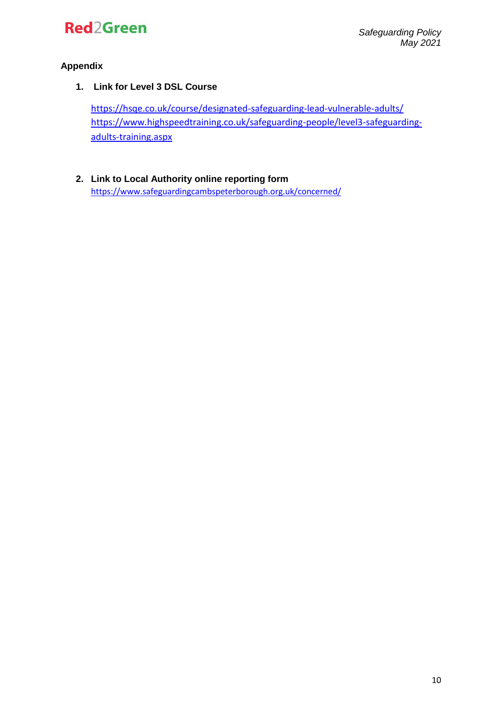

#### **Appendix**

**1. Link for Level 3 DSL Course**

<https://hsqe.co.uk/course/designated-safeguarding-lead-vulnerable-adults/> [https://www.highspeedtraining.co.uk/safeguarding-people/level3-safeguarding](https://www.highspeedtraining.co.uk/safeguarding-people/level3-safeguarding-adults-training.aspx)[adults-training.aspx](https://www.highspeedtraining.co.uk/safeguarding-people/level3-safeguarding-adults-training.aspx)

**2. Link to Local Authority online reporting form** <https://www.safeguardingcambspeterborough.org.uk/concerned/>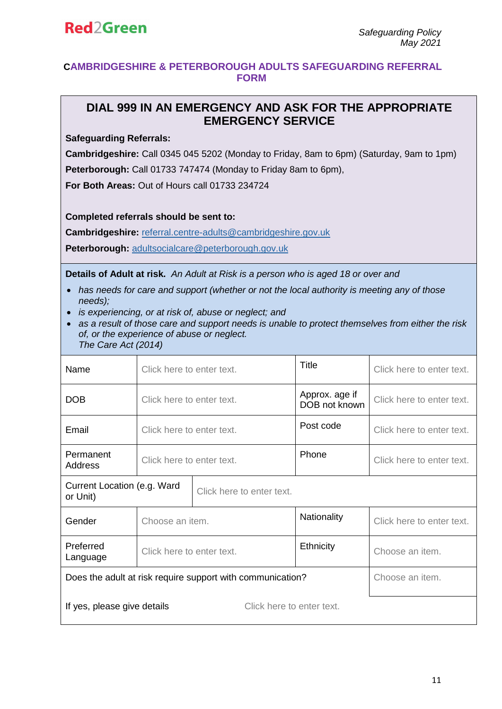#### **CAMBRIDGESHIRE & PETERBOROUGH ADULTS SAFEGUARDING REFERRAL FORM**

### **DIAL 999 IN AN EMERGENCY AND ASK FOR THE APPROPRIATE EMERGENCY SERVICE**

**Safeguarding Referrals:**

**Cambridgeshire:** Call 0345 045 5202 (Monday to Friday, 8am to 6pm) (Saturday, 9am to 1pm) **Peterborough:** Call 01733 747474 (Monday to Friday 8am to 6pm),

**For Both Areas:** Out of Hours call 01733 234724

**Completed referrals should be sent to:**

**Cambridgeshire:** [referral.centre-adults@cambridgeshire.gov.uk](mailto:referral.centre-adults@cambridgeshire.gov.uk)

**Peterborough:** [adultsocialcare@peterborough.gov.uk](mailto:adultsocialcare@peterborough.gov.uk)

**Details of Adult at risk.** *An Adult at Risk is a person who is aged 18 or over and*

- *has needs for care and support (whether or not the local authority is meeting any of those needs);*
- *is experiencing, or at risk of, abuse or neglect; and*
- *as a result of those care and support needs is unable to protect themselves from either the risk of, or the experience of abuse or neglect. The Care Act (2014)*

| Name                                                       | Click here to enter text. |                           | Title                           | Click here to enter text. |
|------------------------------------------------------------|---------------------------|---------------------------|---------------------------------|---------------------------|
| DOB                                                        | Click here to enter text. |                           | Approx. age if<br>DOB not known | Click here to enter text. |
| Email                                                      | Click here to enter text. |                           | Post code                       | Click here to enter text. |
| Permanent<br><b>Address</b>                                | Click here to enter text. |                           | Phone                           | Click here to enter text. |
| Current Location (e.g. Ward<br>or Unit)                    |                           | Click here to enter text. |                                 |                           |
| Gender                                                     | Choose an item.           |                           | Nationality                     | Click here to enter text. |
| Preferred<br>Language                                      | Click here to enter text. |                           | Ethnicity                       | Choose an item.           |
| Does the adult at risk require support with communication? |                           |                           |                                 | Choose an item.           |
| Click here to enter text.<br>If yes, please give details   |                           |                           |                                 |                           |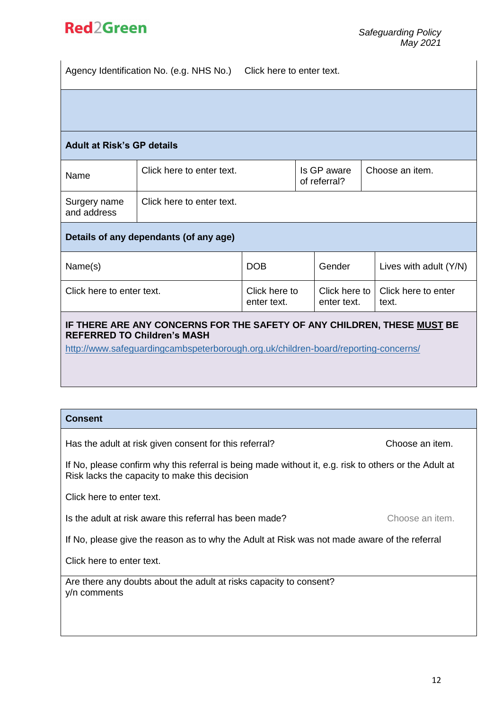Agency Identification No. (e.g. NHS No.) Click here to enter text.

#### **Adult at Risk's GP details**

| Name                        | Click here to enter text. | Is GP aware<br>of referral? | Choose an item. |
|-----------------------------|---------------------------|-----------------------------|-----------------|
| Surgery name<br>and address | Click here to enter text. |                             |                 |

#### **Details of any dependants (of any age)**

| Name(s)                   | <b>DOB</b>                   | Gender      | Lives with adult (Y/N)                       |
|---------------------------|------------------------------|-------------|----------------------------------------------|
| Click here to enter text. | Click here to<br>enter text. | enter text. | Click here to   Click here to enter<br>text. |

#### **IF THERE ARE ANY CONCERNS FOR THE SAFETY OF ANY CHILDREN, THESE MUST BE REFERRED TO Children's MASH**

http://www.safeguardingcambspeterborough.org.uk/children-board/reporting-concerns/

#### **Consent**

Has the adult at risk given consent for this referral? Choose an item.

If No, please confirm why this referral is being made without it, e.g. risk to others or the Adult at Risk lacks the capacity to make this decision

Click here to enter text.

Is the adult at risk aware this referral has been made? Choose an item.

If No, please give the reason as to why the Adult at Risk was not made aware of the referral

Click here to enter text.

Are there any doubts about the adult at risks capacity to consent? y/n comments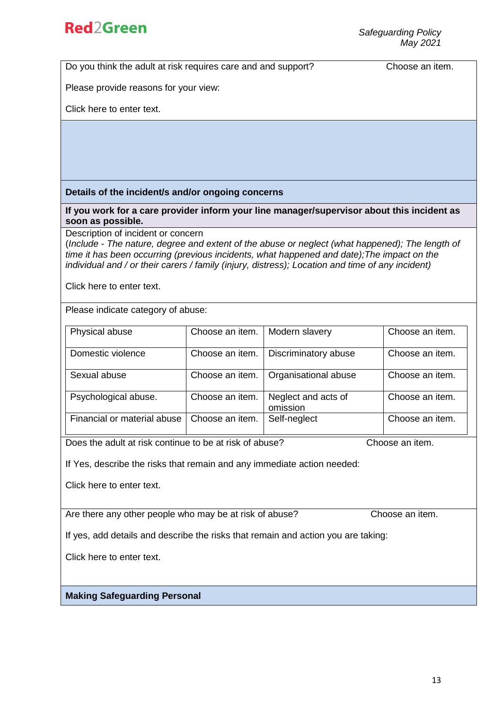Do you think the adult at risk requires care and and support? Choose an item.

Please provide reasons for your view:

Click here to enter text.

#### **Details of the incident/s and/or ongoing concerns**

**If you work for a care provider inform your line manager/supervisor about this incident as soon as possible.**

Description of incident or concern

(*Include - The nature, degree and extent of the abuse or neglect (what happened); The length of time it has been occurring (previous incidents, what happened and date);The impact on the individual and / or their carers / family (injury, distress); Location and time of any incident)*

Click here to enter text.

Please indicate category of abuse:

| Physical abuse              | Choose an item. | Modern slavery                  | Choose an item. |
|-----------------------------|-----------------|---------------------------------|-----------------|
| Domestic violence           | Choose an item. | Discriminatory abuse            | Choose an item. |
| Sexual abuse                | Choose an item. | Organisational abuse            | Choose an item. |
| Psychological abuse.        | Choose an item. | Neglect and acts of<br>omission | Choose an item. |
| Financial or material abuse | Choose an item. | Self-neglect                    | Choose an item. |

Does the adult at risk continue to be at risk of abuse? Choose an item.

If Yes, describe the risks that remain and any immediate action needed:

Click here to enter text.

Are there any other people who may be at risk of abuse? Choose an item.

If yes, add details and describe the risks that remain and action you are taking:

Click here to enter text.

#### **Making Safeguarding Personal**